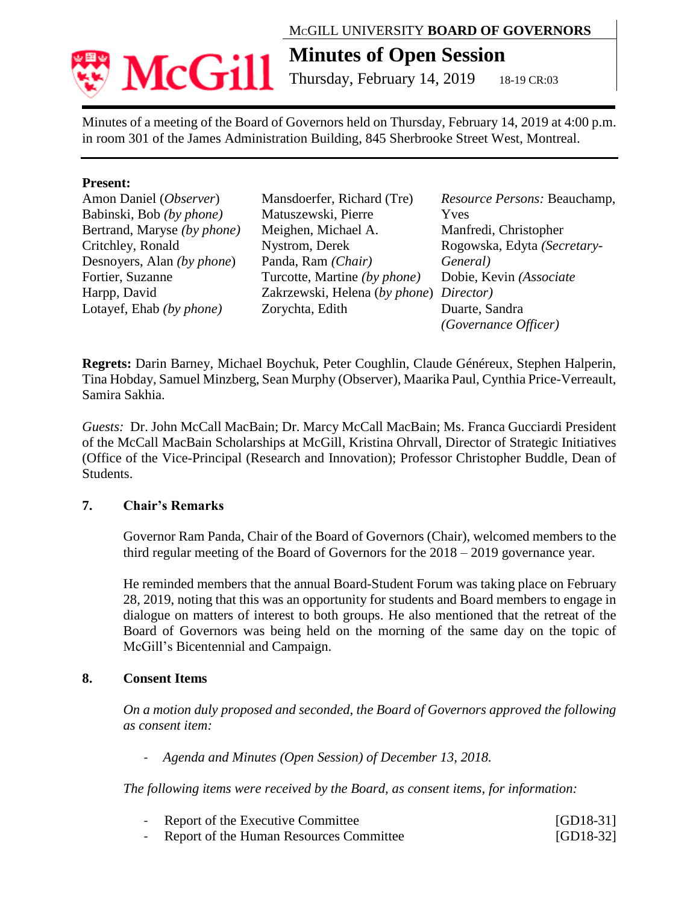# MCGILL UNIVERSITY **BOARD OF GOVERNORS**



**Minutes of Open Session** 

Thursday, February 14, 2019 18-19 CR:03

Minutes of a meeting of the Board of Governors held on Thursday, February 14, 2019 at 4:00 p.m. in room 301 of the James Administration Building, 845 Sherbrooke Street West, Montreal.

## **Present:**

| Amon Daniel (Observer)      |
|-----------------------------|
| Babinski, Bob (by phone)    |
| Bertrand, Maryse (by phone) |
| Critchley, Ronald           |
| Desnoyers, Alan (by phone)  |
| Fortier, Suzanne            |
| Harpp, David                |
| Lotayef, Ehab (by phone)    |

Mansdoerfer, Richard (Tre) Matuszewski, Pierre Meighen, Michael A. Nystrom, Derek Panda, Ram *(Chair)* Turcotte, Martine *(by phone)* Zakrzewski, Helena (*by phone*) *Director)* Zorychta, Edith

*Resource Persons:* Beauchamp, Yves Manfredi, Christopher Rogowska, Edyta *(Secretary-General)* Dobie, Kevin *(Associate*  Duarte, Sandra *(Governance Officer)*

**Regrets:** Darin Barney, Michael Boychuk, Peter Coughlin, Claude Généreux, Stephen Halperin, Tina Hobday, Samuel Minzberg, Sean Murphy (Observer), Maarika Paul, Cynthia Price-Verreault, Samira Sakhia.

*Guests:* Dr. John McCall MacBain; Dr. Marcy McCall MacBain; Ms. Franca Gucciardi President of the McCall MacBain Scholarships at McGill, Kristina Ohrvall, Director of Strategic Initiatives (Office of the Vice-Principal (Research and Innovation); Professor Christopher Buddle, Dean of Students.

# **7. Chair's Remarks**

Governor Ram Panda, Chair of the Board of Governors (Chair), welcomed members to the third regular meeting of the Board of Governors for the 2018 – 2019 governance year.

He reminded members that the annual Board-Student Forum was taking place on February 28, 2019, noting that this was an opportunity for students and Board members to engage in dialogue on matters of interest to both groups. He also mentioned that the retreat of the Board of Governors was being held on the morning of the same day on the topic of McGill's Bicentennial and Campaign.

#### **8. Consent Items**

*On a motion duly proposed and seconded, the Board of Governors approved the following as consent item:*

- *Agenda and Minutes (Open Session) of December 13, 2018.*

*The following items were received by the Board, as consent items, for information:*

|  |  | - Report of the Executive Committee |  | $[GD18-31]$ |
|--|--|-------------------------------------|--|-------------|
|  |  |                                     |  | 5002222     |

Report of the Human Resources Committee [GD18-32]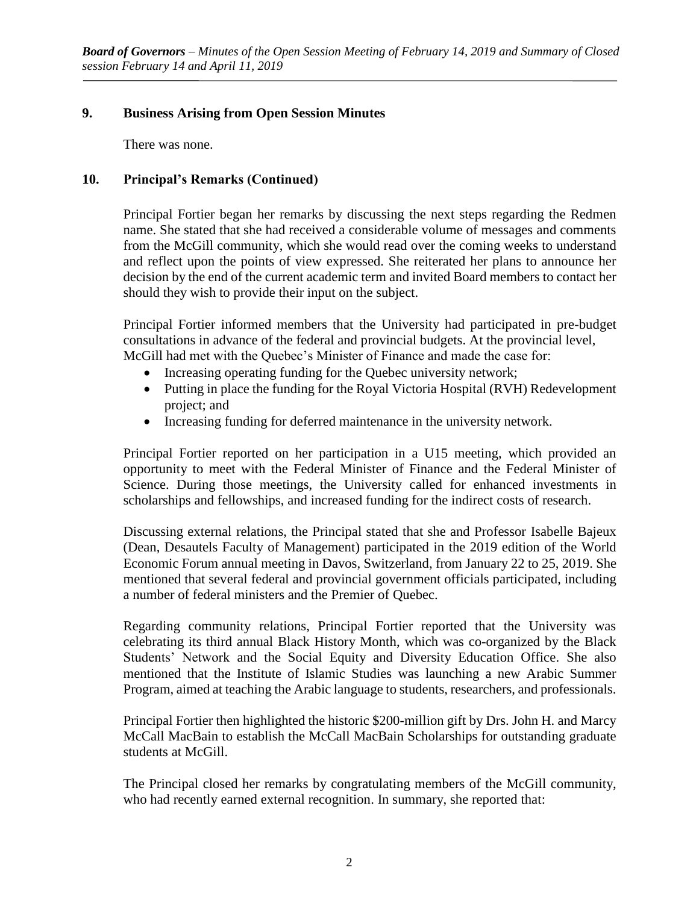# **9. Business Arising from Open Session Minutes**

There was none.

# **10. Principal's Remarks (Continued)**

Principal Fortier began her remarks by discussing the next steps regarding the Redmen name. She stated that she had received a considerable volume of messages and comments from the McGill community, which she would read over the coming weeks to understand and reflect upon the points of view expressed. She reiterated her plans to announce her decision by the end of the current academic term and invited Board members to contact her should they wish to provide their input on the subject.

Principal Fortier informed members that the University had participated in pre-budget consultations in advance of the federal and provincial budgets. At the provincial level, McGill had met with the Quebec's Minister of Finance and made the case for:

- Increasing operating funding for the Quebec university network;
- Putting in place the funding for the Royal Victoria Hospital (RVH) Redevelopment project; and
- Increasing funding for deferred maintenance in the university network.

Principal Fortier reported on her participation in a U15 meeting, which provided an opportunity to meet with the Federal Minister of Finance and the Federal Minister of Science. During those meetings, the University called for enhanced investments in scholarships and fellowships, and increased funding for the indirect costs of research.

Discussing external relations, the Principal stated that she and Professor Isabelle Bajeux (Dean, Desautels Faculty of Management) participated in the 2019 edition of the World Economic Forum annual meeting in Davos, Switzerland, from January 22 to 25, 2019. She mentioned that several federal and provincial government officials participated, including a number of federal ministers and the Premier of Quebec.

Regarding community relations, Principal Fortier reported that the University was celebrating its third annual Black History Month, which was co-organized by the Black Students' Network and the Social Equity and Diversity Education Office. She also mentioned that the Institute of Islamic Studies was launching a new Arabic Summer Program, aimed at teaching the Arabic language to students, researchers, and professionals.

Principal Fortier then highlighted the historic \$200-million gift by Drs. John H. and Marcy McCall MacBain to establish the McCall MacBain Scholarships for outstanding graduate students at McGill.

The Principal closed her remarks by congratulating members of the McGill community, who had recently earned external recognition. In summary, she reported that: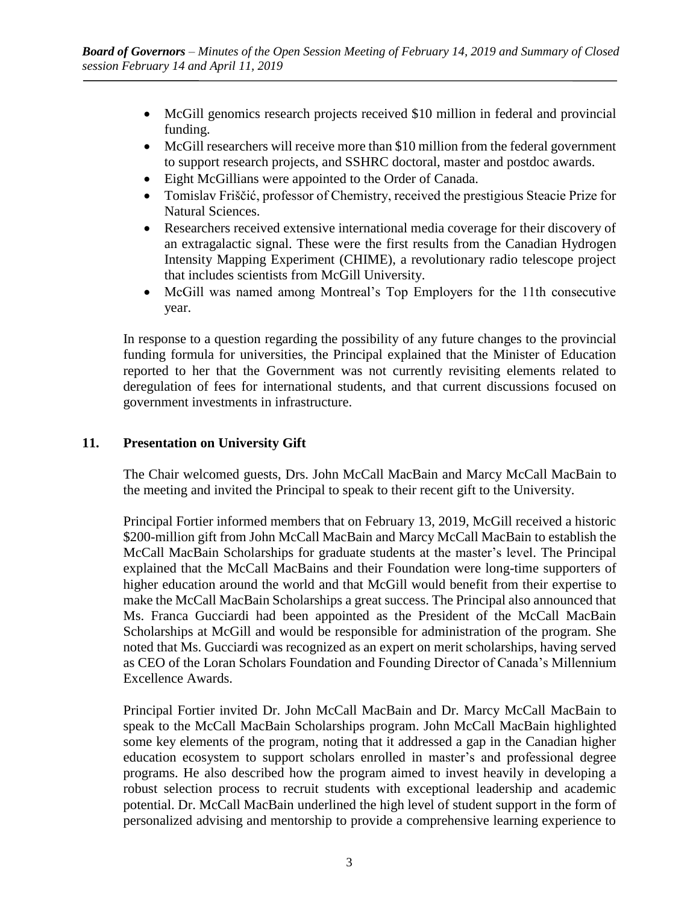- McGill genomics research projects received \$10 million in federal and provincial funding.
- McGill researchers will receive more than \$10 million from the federal government to support research projects, and SSHRC doctoral, master and postdoc awards.
- Eight McGillians were appointed to the Order of Canada.
- Tomislav Friščić, professor of Chemistry, received the prestigious Steacie Prize for Natural Sciences.
- Researchers received extensive international media coverage for their discovery of an extragalactic signal. These were the first results from the Canadian Hydrogen Intensity Mapping Experiment (CHIME), a revolutionary radio telescope project that includes scientists from McGill University.
- McGill was named among Montreal's Top Employers for the 11th consecutive year.

In response to a question regarding the possibility of any future changes to the provincial funding formula for universities, the Principal explained that the Minister of Education reported to her that the Government was not currently revisiting elements related to deregulation of fees for international students, and that current discussions focused on government investments in infrastructure.

## **11. Presentation on University Gift**

The Chair welcomed guests, Drs. John McCall MacBain and Marcy McCall MacBain to the meeting and invited the Principal to speak to their recent gift to the University.

Principal Fortier informed members that on February 13, 2019, McGill received a historic \$200-million gift from John McCall MacBain and Marcy McCall MacBain to establish the McCall MacBain Scholarships for graduate students at the master's level. The Principal explained that the McCall MacBains and their Foundation were long-time supporters of higher education around the world and that McGill would benefit from their expertise to make the McCall MacBain Scholarships a great success. The Principal also announced that Ms. Franca Gucciardi had been appointed as the President of the McCall MacBain Scholarships at McGill and would be responsible for administration of the program. She noted that Ms. Gucciardi was recognized as an expert on merit scholarships, having served as CEO of the Loran Scholars Foundation and Founding Director of Canada's Millennium Excellence Awards.

Principal Fortier invited Dr. John McCall MacBain and Dr. Marcy McCall MacBain to speak to the McCall MacBain Scholarships program. John McCall MacBain highlighted some key elements of the program, noting that it addressed a gap in the Canadian higher education ecosystem to support scholars enrolled in master's and professional degree programs. He also described how the program aimed to invest heavily in developing a robust selection process to recruit students with exceptional leadership and academic potential. Dr. McCall MacBain underlined the high level of student support in the form of personalized advising and mentorship to provide a comprehensive learning experience to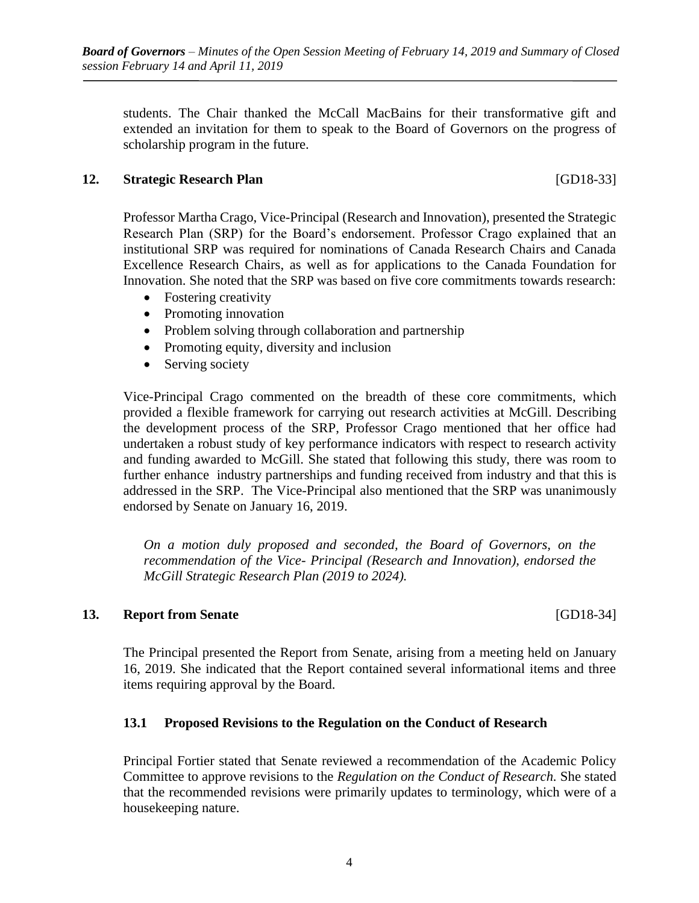students. The Chair thanked the McCall MacBains for their transformative gift and extended an invitation for them to speak to the Board of Governors on the progress of scholarship program in the future.

## **12. Strategic Research Plan** [GD18-33]

Professor Martha Crago, Vice-Principal (Research and Innovation), presented the Strategic Research Plan (SRP) for the Board's endorsement. Professor Crago explained that an institutional SRP was required for nominations of Canada Research Chairs and Canada Excellence Research Chairs, as well as for applications to the Canada Foundation for Innovation. She noted that the SRP was based on five core commitments towards research:

- Fostering creativity
- Promoting innovation
- Problem solving through collaboration and partnership
- Promoting equity, diversity and inclusion
- Serving society

Vice-Principal Crago commented on the breadth of these core commitments, which provided a flexible framework for carrying out research activities at McGill. Describing the development process of the SRP, Professor Crago mentioned that her office had undertaken a robust study of key performance indicators with respect to research activity and funding awarded to McGill. She stated that following this study, there was room to further enhance industry partnerships and funding received from industry and that this is addressed in the SRP. The Vice-Principal also mentioned that the SRP was unanimously endorsed by Senate on January 16, 2019.

*On a motion duly proposed and seconded, the Board of Governors, on the recommendation of the Vice- Principal (Research and Innovation), endorsed the McGill Strategic Research Plan (2019 to 2024).*

#### **13. Report from Senate** [GD18-34]

The Principal presented the Report from Senate, arising from a meeting held on January 16, 2019. She indicated that the Report contained several informational items and three items requiring approval by the Board.

#### **13.1 Proposed Revisions to the Regulation on the Conduct of Research**

Principal Fortier stated that Senate reviewed a recommendation of the Academic Policy Committee to approve revisions to the *Regulation on the Conduct of Research.* She stated that the recommended revisions were primarily updates to terminology, which were of a housekeeping nature.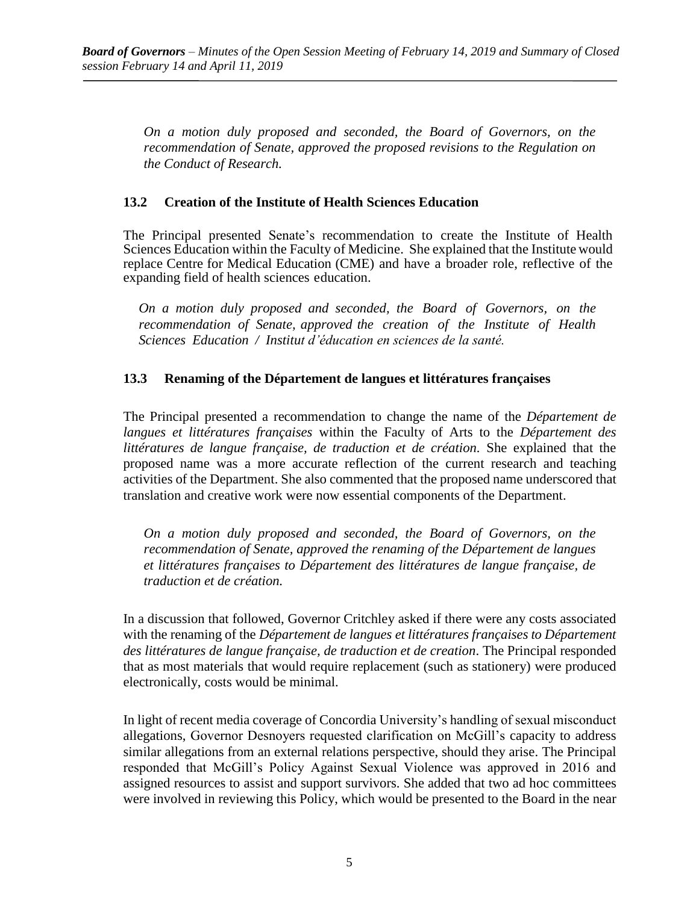*On a motion duly proposed and seconded, the Board of Governors, on the recommendation of Senate, approved the proposed revisions to the Regulation on the Conduct of Research.* 

#### **13.2 Creation of the Institute of Health Sciences Education**

The Principal presented Senate's recommendation to create the Institute of Health Sciences Education within the Faculty of Medicine. She explained that the Institute would replace Centre for Medical Education (CME) and have a broader role, reflective of the expanding field of health sciences education.

*On a motion duly proposed and seconded, the Board of Governors, on the recommendation of Senate, approved the creation of the Institute of Health Sciences Education / Institut d'éducation en sciences de la santé.*

# **13.3 Renaming of the Département de langues et littératures françaises**

The Principal presented a recommendation to change the name of the *Département de langues et littératures françaises* within the Faculty of Arts to the *Département des littératures de langue française, de traduction et de création.* She explained that the proposed name was a more accurate reflection of the current research and teaching activities of the Department. She also commented that the proposed name underscored that translation and creative work were now essential components of the Department.

*On a motion duly proposed and seconded, the Board of Governors, on the recommendation of Senate, approved the renaming of the Département de langues et littératures françaises to Département des littératures de langue française, de traduction et de création.*

In a discussion that followed, Governor Critchley asked if there were any costs associated with the renaming of the *Département de langues et littératures françaises to Département des littératures de langue française, de traduction et de creation*. The Principal responded that as most materials that would require replacement (such as stationery) were produced electronically, costs would be minimal.

In light of recent media coverage of Concordia University's handling of sexual misconduct allegations, Governor Desnoyers requested clarification on McGill's capacity to address similar allegations from an external relations perspective, should they arise. The Principal responded that McGill's Policy Against Sexual Violence was approved in 2016 and assigned resources to assist and support survivors. She added that two ad hoc committees were involved in reviewing this Policy, which would be presented to the Board in the near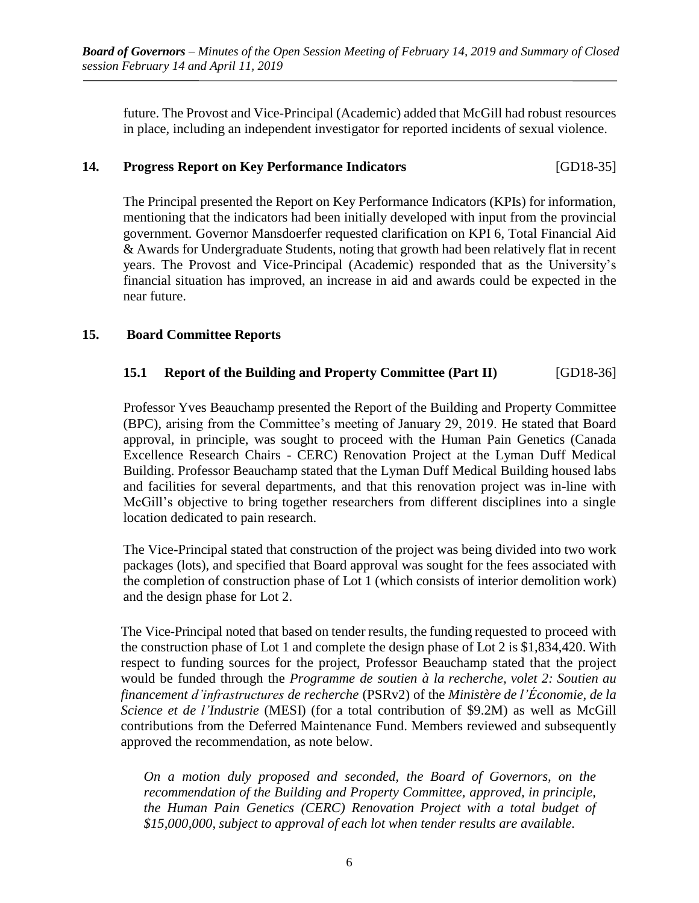future. The Provost and Vice-Principal (Academic) added that McGill had robust resources in place, including an independent investigator for reported incidents of sexual violence.

# **14. Progress Report on Key Performance Indicators** [GD18-35]

The Principal presented the Report on Key Performance Indicators (KPIs) for information, mentioning that the indicators had been initially developed with input from the provincial government. Governor Mansdoerfer requested clarification on KPI 6, Total Financial Aid & Awards for Undergraduate Students, noting that growth had been relatively flat in recent years. The Provost and Vice-Principal (Academic) responded that as the University's financial situation has improved, an increase in aid and awards could be expected in the near future.

## **15. Board Committee Reports**

# **15.1 Report of the Building and Property Committee (Part II)** [GD18-36]

Professor Yves Beauchamp presented the Report of the Building and Property Committee (BPC), arising from the Committee's meeting of January 29, 2019. He stated that Board approval, in principle, was sought to proceed with the Human Pain Genetics (Canada Excellence Research Chairs - CERC) Renovation Project at the Lyman Duff Medical Building. Professor Beauchamp stated that the Lyman Duff Medical Building housed labs and facilities for several departments, and that this renovation project was in-line with McGill's objective to bring together researchers from different disciplines into a single location dedicated to pain research.

The Vice-Principal stated that construction of the project was being divided into two work packages (lots), and specified that Board approval was sought for the fees associated with the completion of construction phase of Lot 1 (which consists of interior demolition work) and the design phase for Lot 2.

The Vice-Principal noted that based on tender results, the funding requested to proceed with the construction phase of Lot 1 and complete the design phase of Lot 2 is \$1,834,420. With respect to funding sources for the project, Professor Beauchamp stated that the project would be funded through the *Programme de soutien à la recherche, volet 2: Soutien au financement d'infrastructures de recherche* (PSRv2) of the *Ministère de l'Économie, de la Science et de l'Industrie* (MESI) (for a total contribution of \$9.2M) as well as McGill contributions from the Deferred Maintenance Fund. Members reviewed and subsequently approved the recommendation, as note below.

*On a motion duly proposed and seconded, the Board of Governors, on the recommendation of the Building and Property Committee, approved, in principle, the Human Pain Genetics (CERC) Renovation Project with a total budget of \$15,000,000, subject to approval of each lot when tender results are available.*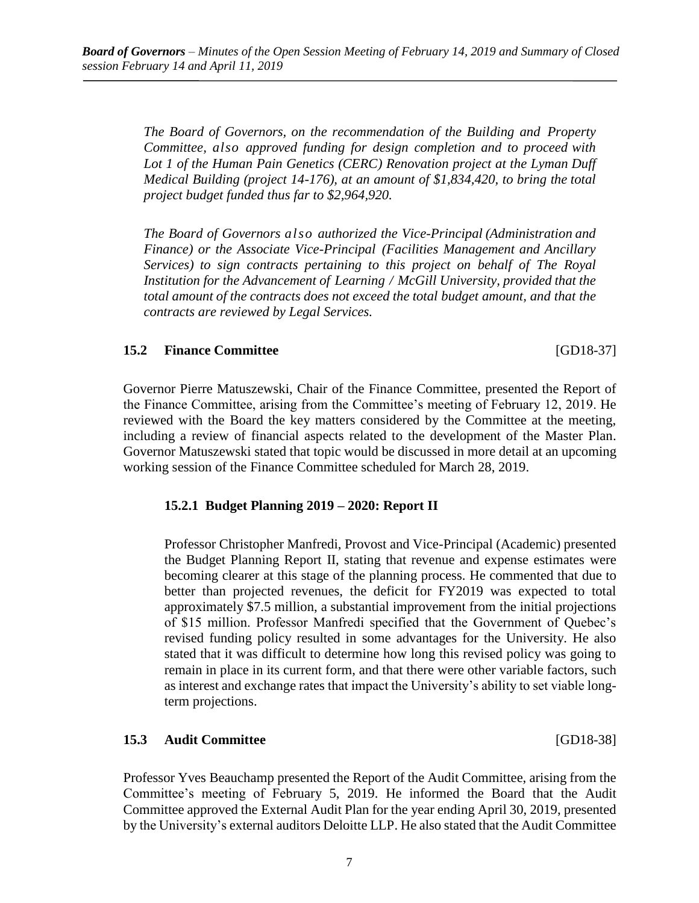*The Board of Governors, on the recommendation of the Building and Property Committee, also approved funding for design completion and to proceed with Lot 1 of the Human Pain Genetics (CERC) Renovation project at the Lyman Duff Medical Building (project 14-176), at an amount of \$1,834,420, to bring the total project budget funded thus far to \$2,964,920.*

*The Board of Governors also authorized the Vice-Principal (Administration and Finance) or the Associate Vice-Principal (Facilities Management and Ancillary Services) to sign contracts pertaining to this project on behalf of The Royal Institution for the Advancement of Learning / McGill University, provided that the total amount of the contracts does not exceed the total budget amount, and that the contracts are reviewed by Legal Services.*

## **15.2 Finance Committee** [GD18-37]

Governor Pierre Matuszewski, Chair of the Finance Committee, presented the Report of the Finance Committee, arising from the Committee's meeting of February 12, 2019. He reviewed with the Board the key matters considered by the Committee at the meeting, including a review of financial aspects related to the development of the Master Plan. Governor Matuszewski stated that topic would be discussed in more detail at an upcoming working session of the Finance Committee scheduled for March 28, 2019.

# **15.2.1 Budget Planning 2019 – 2020: Report II**

Professor Christopher Manfredi, Provost and Vice-Principal (Academic) presented the Budget Planning Report II, stating that revenue and expense estimates were becoming clearer at this stage of the planning process. He commented that due to better than projected revenues, the deficit for FY2019 was expected to total approximately \$7.5 million, a substantial improvement from the initial projections of \$15 million. Professor Manfredi specified that the Government of Quebec's revised funding policy resulted in some advantages for the University. He also stated that it was difficult to determine how long this revised policy was going to remain in place in its current form, and that there were other variable factors, such as interest and exchange rates that impact the University's ability to set viable longterm projections.

# **15.3 Audit Committee** [GD18-38]

Professor Yves Beauchamp presented the Report of the Audit Committee, arising from the Committee's meeting of February 5, 2019. He informed the Board that the Audit Committee approved the External Audit Plan for the year ending April 30, 2019, presented by the University's external auditors Deloitte LLP. He also stated that the Audit Committee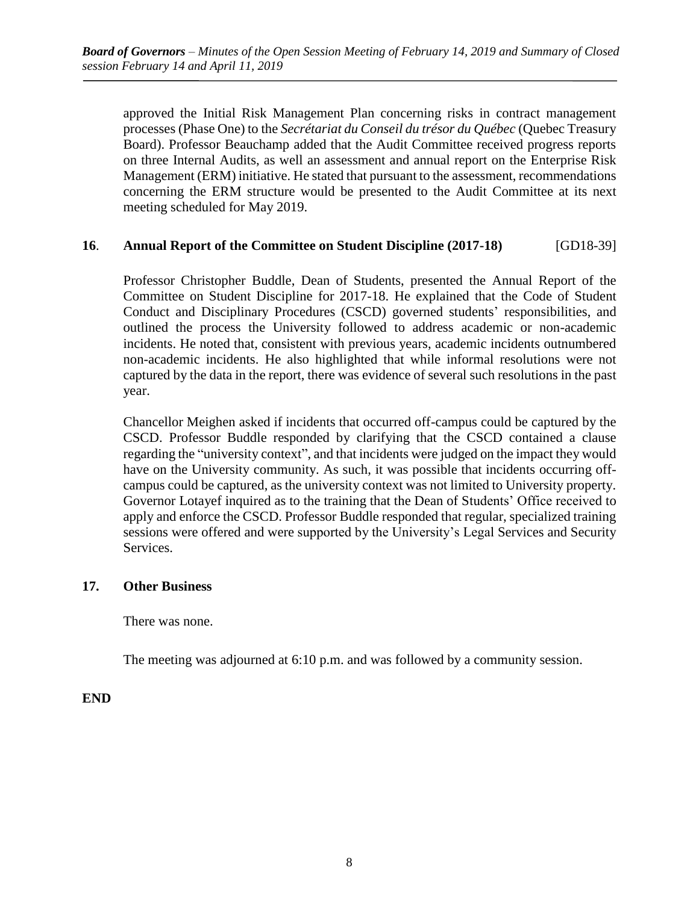approved the Initial Risk Management Plan concerning risks in contract management processes (Phase One) to the *Secrétariat du Conseil du trésor du Québec* (Quebec Treasury Board). Professor Beauchamp added that the Audit Committee received progress reports on three Internal Audits, as well an assessment and annual report on the Enterprise Risk Management (ERM) initiative. He stated that pursuant to the assessment, recommendations concerning the ERM structure would be presented to the Audit Committee at its next meeting scheduled for May 2019.

## **16**. **Annual Report of the Committee on Student Discipline (2017-18)** [GD18-39]

Professor Christopher Buddle, Dean of Students, presented the Annual Report of the Committee on Student Discipline for 2017-18. He explained that the Code of Student Conduct and Disciplinary Procedures (CSCD) governed students' responsibilities, and outlined the process the University followed to address academic or non-academic incidents. He noted that, consistent with previous years, academic incidents outnumbered non-academic incidents. He also highlighted that while informal resolutions were not captured by the data in the report, there was evidence of several such resolutions in the past year.

Chancellor Meighen asked if incidents that occurred off-campus could be captured by the CSCD. Professor Buddle responded by clarifying that the CSCD contained a clause regarding the "university context", and that incidents were judged on the impact they would have on the University community. As such, it was possible that incidents occurring offcampus could be captured, as the university context was not limited to University property. Governor Lotayef inquired as to the training that the Dean of Students' Office received to apply and enforce the CSCD. Professor Buddle responded that regular, specialized training sessions were offered and were supported by the University's Legal Services and Security Services.

#### **17. Other Business**

There was none.

The meeting was adjourned at 6:10 p.m. and was followed by a community session.

**END**